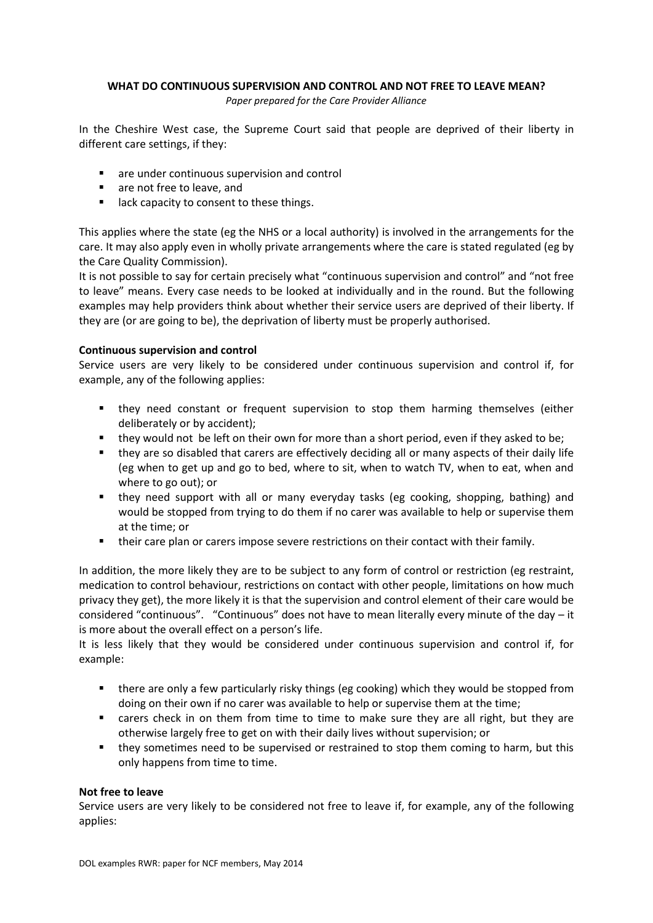## **WHAT DO CONTINUOUS SUPERVISION AND CONTROL AND NOT FREE TO LEAVE MEAN?**

*Paper prepared for the Care Provider Alliance*

In the Cheshire West case, the Supreme Court said that people are deprived of their liberty in different care settings, if they:

- **F** are under continuous supervision and control
- **a** are not free to leave, and
- **If** lack capacity to consent to these things.

This applies where the state (eg the NHS or a local authority) is involved in the arrangements for the care. It may also apply even in wholly private arrangements where the care is stated regulated (eg by the Care Quality Commission).

It is not possible to say for certain precisely what "continuous supervision and control" and "not free to leave" means. Every case needs to be looked at individually and in the round. But the following examples may help providers think about whether their service users are deprived of their liberty. If they are (or are going to be), the deprivation of liberty must be properly authorised.

## **Continuous supervision and control**

Service users are very likely to be considered under continuous supervision and control if, for example, any of the following applies:

- they need constant or frequent supervision to stop them harming themselves (either deliberately or by accident);
- they would not be left on their own for more than a short period, even if they asked to be;
- they are so disabled that carers are effectively deciding all or many aspects of their daily life (eg when to get up and go to bed, where to sit, when to watch TV, when to eat, when and where to go out); or
- they need support with all or many everyday tasks (eg cooking, shopping, bathing) and would be stopped from trying to do them if no carer was available to help or supervise them at the time; or
- their care plan or carers impose severe restrictions on their contact with their family.

In addition, the more likely they are to be subject to any form of control or restriction (eg restraint, medication to control behaviour, restrictions on contact with other people, limitations on how much privacy they get), the more likely it is that the supervision and control element of their care would be considered "continuous". "Continuous" does not have to mean literally every minute of the day – it is more about the overall effect on a person's life.

It is less likely that they would be considered under continuous supervision and control if, for example:

- there are only a few particularly risky things (eg cooking) which they would be stopped from doing on their own if no carer was available to help or supervise them at the time;
- carers check in on them from time to time to make sure they are all right, but they are otherwise largely free to get on with their daily lives without supervision; or
- **they sometimes need to be supervised or restrained to stop them coming to harm, but this** only happens from time to time.

## **Not free to leave**

Service users are very likely to be considered not free to leave if, for example, any of the following applies: